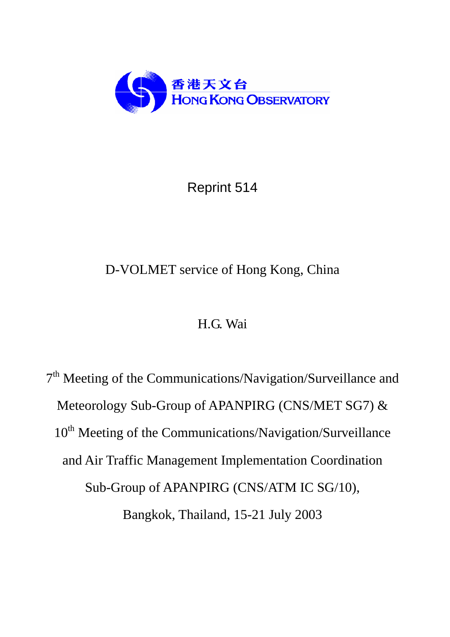

Reprint 514

# D-VOLMET service of Hong Kong, China

# H.G. Wai

7<sup>th</sup> Meeting of the Communications/Navigation/Surveillance and Meteorology Sub-Group of APANPIRG (CNS/MET SG7) & 10<sup>th</sup> Meeting of the Communications/Navigation/Surveillance and Air Traffic Management Implementation Coordination Sub-Group of APANPIRG (CNS/ATM IC SG/10), Bangkok, Thailand, 15-21 July 2003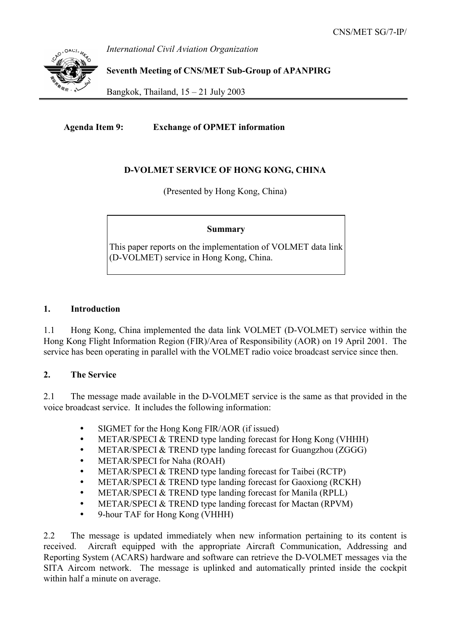*International Civil Aviation Organization* 

**Seventh Meeting of CNS/MET Sub-Group of APANPIRG** 

Bangkok, Thailand,  $15 - 21$  July 2003

**Agenda Item 9: Exchange of OPMET information** 

### **D-VOLMET SERVICE OF HONG KONG, CHINA**

(Presented by Hong Kong, China)

#### **Summary**

This paper reports on the implementation of VOLMET data link (D-VOLMET) service in Hong Kong, China.

#### **1. Introduction**

1.1 Hong Kong, China implemented the data link VOLMET (D-VOLMET) service within the Hong Kong Flight Information Region (FIR)/Area of Responsibility (AOR) on 19 April 2001. The service has been operating in parallel with the VOLMET radio voice broadcast service since then.

#### **2. The Service**

2.1 The message made available in the D-VOLMET service is the same as that provided in the voice broadcast service. It includes the following information:

- SIGMET for the Hong Kong FIR/AOR (if issued)
- METAR/SPECI & TREND type landing forecast for Hong Kong (VHHH)
- METAR/SPECI & TREND type landing forecast for Guangzhou (ZGGG)
- METAR/SPECI for Naha (ROAH)
- METAR/SPECI & TREND type landing forecast for Taibei (RCTP)
- METAR/SPECI & TREND type landing forecast for Gaoxiong (RCKH)
- METAR/SPECI & TREND type landing forecast for Manila (RPLL)
- METAR/SPECI & TREND type landing forecast for Mactan (RPVM)
- y 9-hour TAF for Hong Kong (VHHH)

2.2 The message is updated immediately when new information pertaining to its content is received. Aircraft equipped with the appropriate Aircraft Communication, Addressing and Reporting System (ACARS) hardware and software can retrieve the D-VOLMET messages via the SITA Aircom network. The message is uplinked and automatically printed inside the cockpit within half a minute on average.